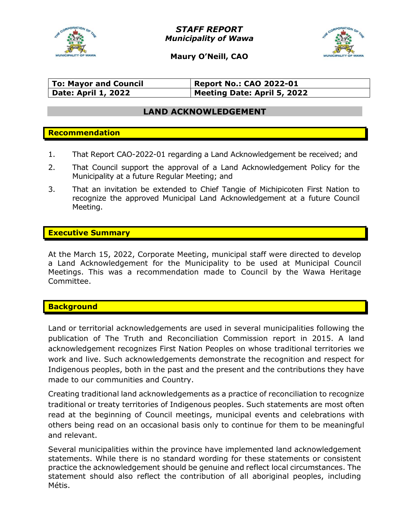

STAFF REPORT Municipality of Wawa



Maury O'Neill, CAO

| <b>To: Mayor and Council</b> | Report No.: CAO 2022-01     |
|------------------------------|-----------------------------|
| <b>Date: April 1, 2022</b>   | Meeting Date: April 5, 2022 |

## LAND ACKNOWLEDGEMENT

## Recommendation

- 1. That Report CAO-2022-01 regarding a Land Acknowledgement be received; and
- 2. That Council support the approval of a Land Acknowledgement Policy for the Municipality at a future Regular Meeting; and
- 3. That an invitation be extended to Chief Tangie of Michipicoten First Nation to recognize the approved Municipal Land Acknowledgement at a future Council Meeting.

#### Executive Summary

At the March 15, 2022, Corporate Meeting, municipal staff were directed to develop a Land Acknowledgement for the Municipality to be used at Municipal Council Meetings. This was a recommendation made to Council by the Wawa Heritage Committee.

#### **Background**

Land or territorial acknowledgements are used in several municipalities following the publication of The Truth and Reconciliation Commission report in 2015. A land acknowledgement recognizes First Nation Peoples on whose traditional territories we work and live. Such acknowledgements demonstrate the recognition and respect for Indigenous peoples, both in the past and the present and the contributions they have made to our communities and Country.

Creating traditional land acknowledgements as a practice of reconciliation to recognize traditional or treaty territories of Indigenous peoples. Such statements are most often read at the beginning of Council meetings, municipal events and celebrations with others being read on an occasional basis only to continue for them to be meaningful and relevant.

Several municipalities within the province have implemented land acknowledgement statements. While there is no standard wording for these statements or consistent practice the acknowledgement should be genuine and reflect local circumstances. The statement should also reflect the contribution of all aboriginal peoples, including Métis.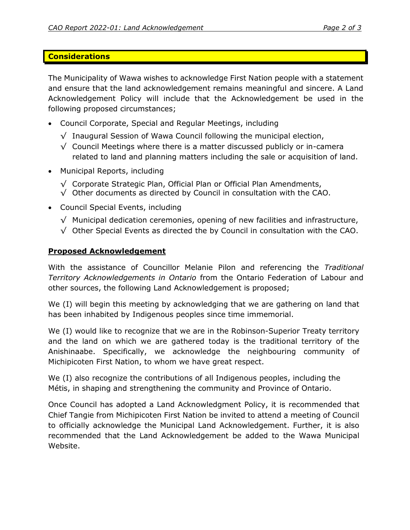### Considerations

The Municipality of Wawa wishes to acknowledge First Nation people with a statement and ensure that the land acknowledgement remains meaningful and sincere. A Land Acknowledgement Policy will include that the Acknowledgement be used in the following proposed circumstances;

- Council Corporate, Special and Regular Meetings, including
	- √ Inaugural Session of Wawa Council following the municipal election,
	- $\sqrt{\ }$  Council Meetings where there is a matter discussed publicly or in-camera related to land and planning matters including the sale or acquisition of land.
- Municipal Reports, including
	- √ Corporate Strategic Plan, Official Plan or Official Plan Amendments,
	- $\sqrt{\phantom{a}}$  Other documents as directed by Council in consultation with the CAO.
- Council Special Events, including
	- $\sqrt{\ }$  Municipal dedication ceremonies, opening of new facilities and infrastructure,
	- √ Other Special Events as directed the by Council in consultation with the CAO.

## Proposed Acknowledgement

With the assistance of Councillor Melanie Pilon and referencing the Traditional Territory Acknowledgements in Ontario from the Ontario Federation of Labour and other sources, the following Land Acknowledgement is proposed;

We (I) will begin this meeting by acknowledging that we are gathering on land that has been inhabited by Indigenous peoples since time immemorial.

We (I) would like to recognize that we are in the Robinson-Superior Treaty territory and the land on which we are gathered today is the traditional territory of the Anishinaabe. Specifically, we acknowledge the neighbouring community of Michipicoten First Nation, to whom we have great respect.

We (I) also recognize the contributions of all Indigenous peoples, including the Métis, in shaping and strengthening the community and Province of Ontario.

Once Council has adopted a Land Acknowledgment Policy, it is recommended that Chief Tangie from Michipicoten First Nation be invited to attend a meeting of Council to officially acknowledge the Municipal Land Acknowledgement. Further, it is also recommended that the Land Acknowledgement be added to the Wawa Municipal Website.